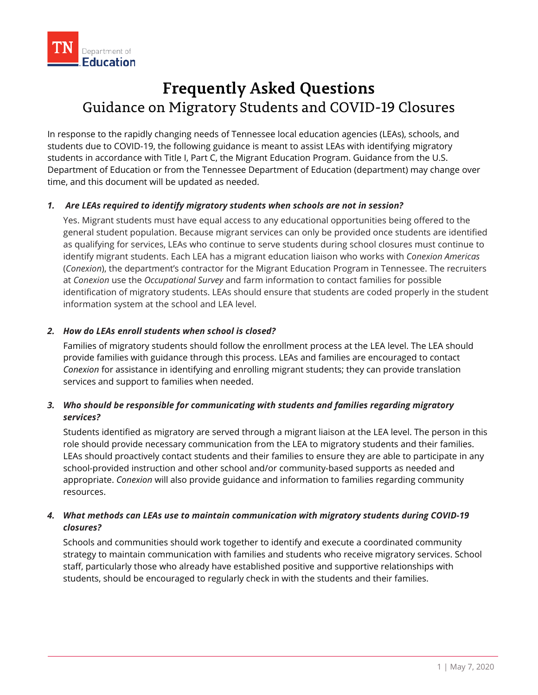

# **Frequently Asked Questions** Guidance on Migratory Students and COVID-19 Closures

In response to the rapidly changing needs of Tennessee local education agencies (LEAs), schools, and students due to COVID-19, the following guidance is meant to assist LEAs with identifying migratory students in accordance with Title I, Part C, the Migrant Education Program. Guidance from the U.S. Department of Education or from the Tennessee Department of Education (department) may change over time, and this document will be updated as needed.

#### *1. Are LEAs required to identify migratory students when schools are not in session?*

Yes. Migrant students must have equal access to any educational opportunities being offered to the general student population. Because migrant services can only be provided once students are identified as qualifying for services, LEAs who continue to serve students during school closures must continue to identify migrant students. Each LEA has a migrant education liaison who works with *Conexion Americas* (*Conexion*), the department's contractor for the Migrant Education Program in Tennessee. The recruiters at *Conexion* use the *Occupational Survey* and farm information to contact families for possible identification of migratory students. LEAs should ensure that students are coded properly in the student information system at the school and LEA level.

#### *2. How do LEAs enroll students when school is closed?*

Families of migratory students should follow the enrollment process at the LEA level. The LEA should provide families with guidance through this process. LEAs and families are encouraged to contact *Conexion* for assistance in identifying and enrolling migrant students; they can provide translation services and support to families when needed.

### *3. Who should be responsible for communicating with students and families regarding migratory services?*

Students identified as migratory are served through a migrant liaison at the LEA level. The person in this role should provide necessary communication from the LEA to migratory students and their families. LEAs should proactively contact students and their families to ensure they are able to participate in any school-provided instruction and other school and/or community-based supports as needed and appropriate. *Conexion* will also provide guidance and information to families regarding community resources.

## *4. What methods can LEAs use to maintain communication with migratory students during COVID-19 closures?*

Schools and communities should work together to identify and execute a coordinated community strategy to maintain communication with families and students who receive migratory services. School staff, particularly those who already have established positive and supportive relationships with students, should be encouraged to regularly check in with the students and their families.